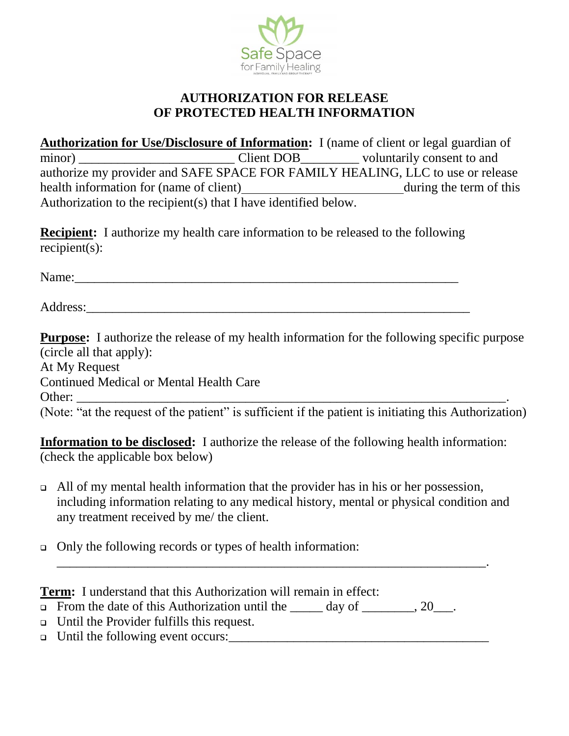

## **AUTHORIZATION FOR RELEASE OF PROTECTED HEALTH INFORMATION**

**Authorization for Use/Disclosure of Information:** I (name of client or legal guardian of minor) Client DOB voluntarily consent to and authorize my provider and SAFE SPACE FOR FAMILY HEALING, LLC to use or release health information for (name of client) during the term of this Authorization to the recipient(s) that I have identified below.

**Recipient:** I authorize my health care information to be released to the following recipient(s):

Name:\_\_\_\_\_\_\_\_\_\_\_\_\_\_\_\_\_\_\_\_\_\_\_\_\_\_\_\_\_\_\_\_\_\_\_\_\_\_\_\_\_\_\_\_\_\_\_\_\_\_\_\_\_\_\_\_\_\_\_

Address:

**Purpose:** I authorize the release of my health information for the following specific purpose (circle all that apply): At My Request Continued Medical or Mental Health Care Other: \_\_\_\_\_\_\_\_\_\_\_\_\_\_\_\_\_\_\_\_\_\_\_\_\_\_\_\_\_\_\_\_\_\_\_\_\_\_\_\_\_\_\_\_\_\_\_\_\_\_\_\_\_\_\_\_\_\_\_\_\_\_\_\_\_\_. (Note: "at the request of the patient" is sufficient if the patient is initiating this Authorization)

**Information to be disclosed:** I authorize the release of the following health information: (check the applicable box below)

 $\Box$  All of my mental health information that the provider has in his or her possession, including information relating to any medical history, mental or physical condition and any treatment received by me/ the client.

\_\_\_\_\_\_\_\_\_\_\_\_\_\_\_\_\_\_\_\_\_\_\_\_\_\_\_\_\_\_\_\_\_\_\_\_\_\_\_\_\_\_\_\_\_\_\_\_\_\_\_\_\_\_\_\_\_\_\_\_\_\_\_\_\_\_.

Only the following records or types of health information:

**Term:** I understand that this Authorization will remain in effect:

- From the date of this Authorization until the  $\_\_\_\_$  day of  $\_\_\_\_$ , 20 $\_\_\_\_$ .
- Until the Provider fulfills this request.
- $\Box$  Until the following event occurs: